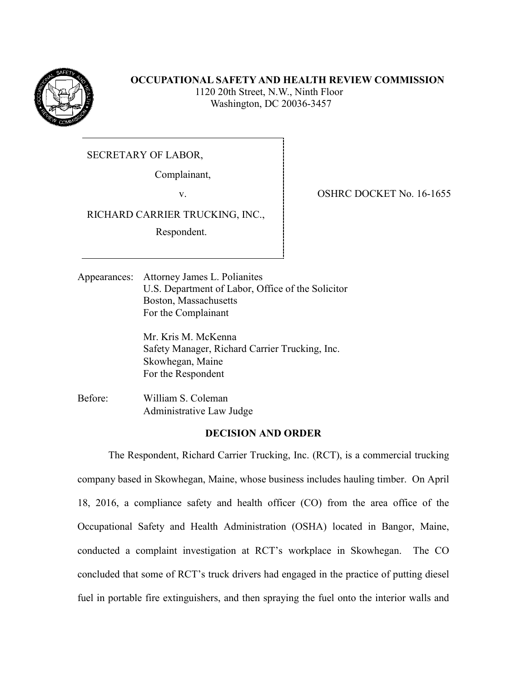

## **OCCUPATIONAL SAFETY AND HEALTH REVIEW COMMISSION**

 1120 20th Street, N.W., Ninth Floor Washington, DC 20036-3457

SECRETARY OF LABOR,

Complainant,

RICHARD CARRIER TRUCKING, INC.,

Respondent.

v. SHRC DOCKET No. 16-1655

Appearances: Attorney James L. Polianites U.S. Department of Labor, Office of the Solicitor Boston, Massachusetts For the Complainant

> Mr. Kris M. McKenna Safety Manager, Richard Carrier Trucking, Inc. Skowhegan, Maine For the Respondent

Before: William S. Coleman Administrative Law Judge

# **DECISION AND ORDER**

The Respondent, Richard Carrier Trucking, Inc. (RCT), is a commercial trucking company based in Skowhegan, Maine, whose business includes hauling timber. On April 18, 2016, a compliance safety and health officer (CO) from the area office of the Occupational Safety and Health Administration (OSHA) located in Bangor, Maine, conducted a complaint investigation at RCT's workplace in Skowhegan. The CO concluded that some of RCT's truck drivers had engaged in the practice of putting diesel fuel in portable fire extinguishers, and then spraying the fuel onto the interior walls and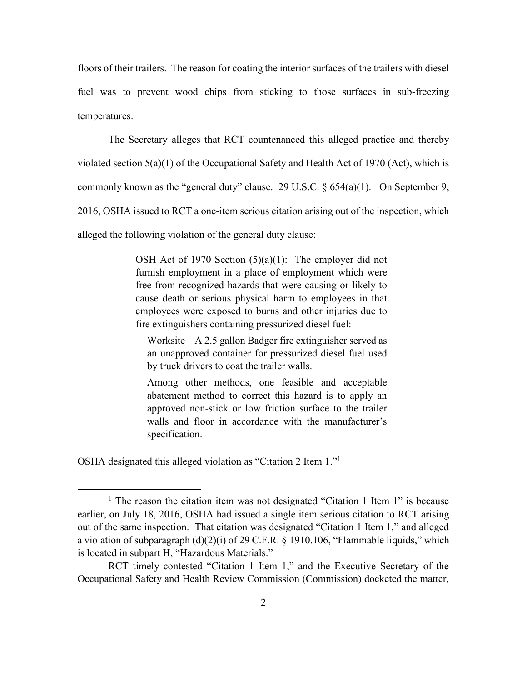floors of their trailers. The reason for coating the interior surfaces of the trailers with diesel fuel was to prevent wood chips from sticking to those surfaces in sub-freezing temperatures.

The Secretary alleges that RCT countenanced this alleged practice and thereby violated section  $5(a)(1)$  of the Occupational Safety and Health Act of 1970 (Act), which is commonly known as the "general duty" clause. 29 U.S.C.  $\S 654(a)(1)$ . On September 9, 2016, OSHA issued to RCT a one-item serious citation arising out of the inspection, which alleged the following violation of the general duty clause:

> OSH Act of 1970 Section  $(5)(a)(1)$ : The employer did not furnish employment in a place of employment which were free from recognized hazards that were causing or likely to cause death or serious physical harm to employees in that employees were exposed to burns and other injuries due to fire extinguishers containing pressurized diesel fuel:

Worksite – A 2.5 gallon Badger fire extinguisher served as an unapproved container for pressurized diesel fuel used by truck drivers to coat the trailer walls.

Among other methods, one feasible and acceptable abatement method to correct this hazard is to apply an approved non-stick or low friction surface to the trailer walls and floor in accordance with the manufacturer's specification.

OSHA designated this alleged violation as "Citation 2 Item 1."<sup>1</sup>

 $\overline{a}$ 

<sup>&</sup>lt;sup>1</sup> The reason the citation item was not designated "Citation 1 Item 1" is because earlier, on July 18, 2016, OSHA had issued a single item serious citation to RCT arising out of the same inspection. That citation was designated "Citation 1 Item 1," and alleged a violation of subparagraph  $(d)(2)(i)$  of 29 C.F.R. § 1910.106, "Flammable liquids," which is located in subpart H, "Hazardous Materials."

RCT timely contested "Citation 1 Item 1," and the Executive Secretary of the Occupational Safety and Health Review Commission (Commission) docketed the matter,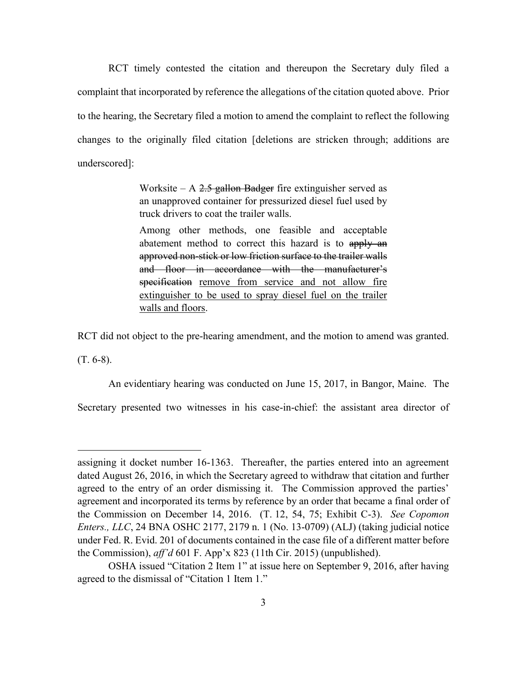RCT timely contested the citation and thereupon the Secretary duly filed a complaint that incorporated by reference the allegations of the citation quoted above. Prior to the hearing, the Secretary filed a motion to amend the complaint to reflect the following changes to the originally filed citation [deletions are stricken through; additions are underscored]:

> Worksite – A  $2.5$  gallon Badger fire extinguisher served as an unapproved container for pressurized diesel fuel used by truck drivers to coat the trailer walls.

> Among other methods, one feasible and acceptable abatement method to correct this hazard is to apply an approved non-stick or low friction surface to the trailer walls and floor in accordance with the manufacturer's specification remove from service and not allow fire extinguisher to be used to spray diesel fuel on the trailer walls and floors.

RCT did not object to the pre-hearing amendment, and the motion to amend was granted.

(T. 6-8).

 $\overline{a}$ 

An evidentiary hearing was conducted on June 15, 2017, in Bangor, Maine. The

Secretary presented two witnesses in his case-in-chief: the assistant area director of

assigning it docket number 16-1363. Thereafter, the parties entered into an agreement dated August 26, 2016, in which the Secretary agreed to withdraw that citation and further agreed to the entry of an order dismissing it. The Commission approved the parties' agreement and incorporated its terms by reference by an order that became a final order of the Commission on December 14, 2016. (T. 12, 54, 75; Exhibit C-3). *See Copomon Enters., LLC*, 24 BNA OSHC 2177, 2179 n. 1 (No. 13-0709) (ALJ) (taking judicial notice under Fed. R. Evid. 201 of documents contained in the case file of a different matter before the Commission), *aff'd* 601 F. App'x 823 (11th Cir. 2015) (unpublished).

OSHA issued "Citation 2 Item 1" at issue here on September 9, 2016, after having agreed to the dismissal of "Citation 1 Item 1."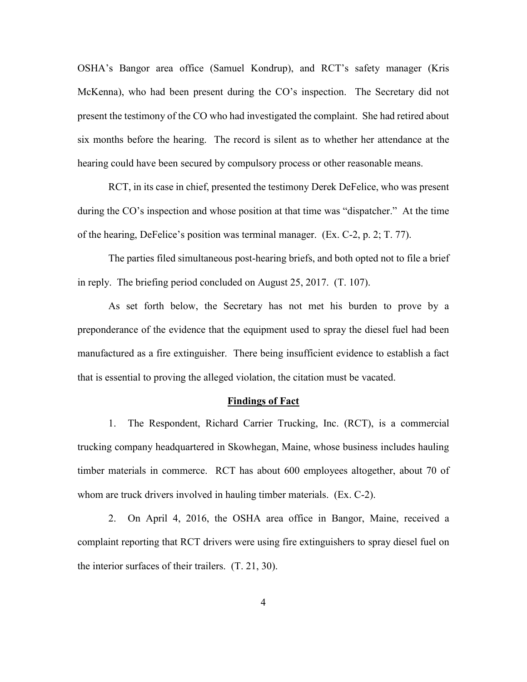OSHA's Bangor area office (Samuel Kondrup), and RCT's safety manager (Kris McKenna), who had been present during the CO's inspection. The Secretary did not present the testimony of the CO who had investigated the complaint. She had retired about six months before the hearing. The record is silent as to whether her attendance at the hearing could have been secured by compulsory process or other reasonable means.

RCT, in its case in chief, presented the testimony Derek DeFelice, who was present during the CO's inspection and whose position at that time was "dispatcher." At the time of the hearing, DeFelice's position was terminal manager. (Ex. C-2, p. 2; T. 77).

The parties filed simultaneous post-hearing briefs, and both opted not to file a brief in reply. The briefing period concluded on August 25, 2017. (T. 107).

As set forth below, the Secretary has not met his burden to prove by a preponderance of the evidence that the equipment used to spray the diesel fuel had been manufactured as a fire extinguisher. There being insufficient evidence to establish a fact that is essential to proving the alleged violation, the citation must be vacated.

### **Findings of Fact**

1. The Respondent, Richard Carrier Trucking, Inc. (RCT), is a commercial trucking company headquartered in Skowhegan, Maine, whose business includes hauling timber materials in commerce. RCT has about 600 employees altogether, about 70 of whom are truck drivers involved in hauling timber materials. (Ex. C-2).

2. On April 4, 2016, the OSHA area office in Bangor, Maine, received a complaint reporting that RCT drivers were using fire extinguishers to spray diesel fuel on the interior surfaces of their trailers. (T. 21, 30).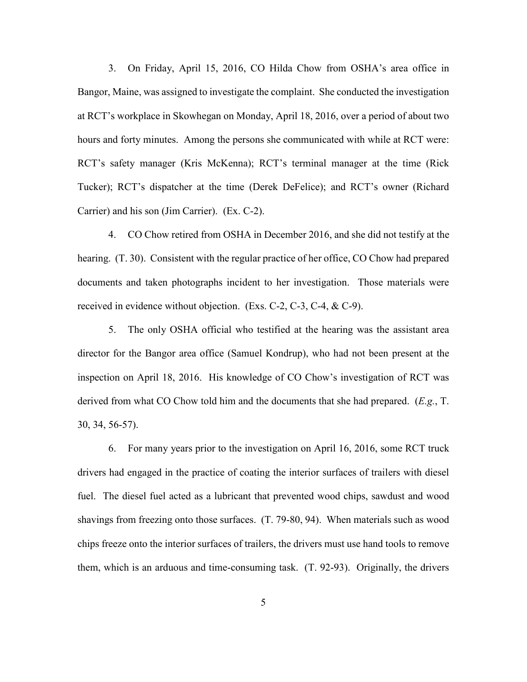3. On Friday, April 15, 2016, CO Hilda Chow from OSHA's area office in Bangor, Maine, was assigned to investigate the complaint. She conducted the investigation at RCT's workplace in Skowhegan on Monday, April 18, 2016, over a period of about two hours and forty minutes. Among the persons she communicated with while at RCT were: RCT's safety manager (Kris McKenna); RCT's terminal manager at the time (Rick Tucker); RCT's dispatcher at the time (Derek DeFelice); and RCT's owner (Richard Carrier) and his son (Jim Carrier). (Ex. C-2).

4. CO Chow retired from OSHA in December 2016, and she did not testify at the hearing. (T. 30). Consistent with the regular practice of her office, CO Chow had prepared documents and taken photographs incident to her investigation. Those materials were received in evidence without objection. (Exs. C-2, C-3, C-4, & C-9).

5. The only OSHA official who testified at the hearing was the assistant area director for the Bangor area office (Samuel Kondrup), who had not been present at the inspection on April 18, 2016. His knowledge of CO Chow's investigation of RCT was derived from what CO Chow told him and the documents that she had prepared. (*E.g.*, T. 30, 34, 56-57).

6. For many years prior to the investigation on April 16, 2016, some RCT truck drivers had engaged in the practice of coating the interior surfaces of trailers with diesel fuel. The diesel fuel acted as a lubricant that prevented wood chips, sawdust and wood shavings from freezing onto those surfaces. (T. 79-80, 94). When materials such as wood chips freeze onto the interior surfaces of trailers, the drivers must use hand tools to remove them, which is an arduous and time-consuming task. (T. 92-93). Originally, the drivers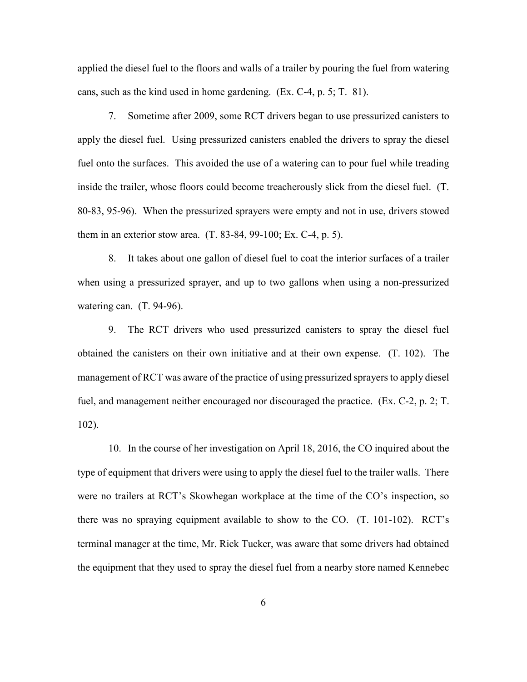applied the diesel fuel to the floors and walls of a trailer by pouring the fuel from watering cans, such as the kind used in home gardening. (Ex. C-4, p. 5; T. 81).

7. Sometime after 2009, some RCT drivers began to use pressurized canisters to apply the diesel fuel. Using pressurized canisters enabled the drivers to spray the diesel fuel onto the surfaces. This avoided the use of a watering can to pour fuel while treading inside the trailer, whose floors could become treacherously slick from the diesel fuel. (T. 80-83, 95-96). When the pressurized sprayers were empty and not in use, drivers stowed them in an exterior stow area. (T. 83-84, 99-100; Ex. C-4, p. 5).

8. It takes about one gallon of diesel fuel to coat the interior surfaces of a trailer when using a pressurized sprayer, and up to two gallons when using a non-pressurized watering can. (T. 94-96).

9. The RCT drivers who used pressurized canisters to spray the diesel fuel obtained the canisters on their own initiative and at their own expense. (T. 102). The management of RCT was aware of the practice of using pressurized sprayers to apply diesel fuel, and management neither encouraged nor discouraged the practice. (Ex. C-2, p. 2; T. 102).

10. In the course of her investigation on April 18, 2016, the CO inquired about the type of equipment that drivers were using to apply the diesel fuel to the trailer walls. There were no trailers at RCT's Skowhegan workplace at the time of the CO's inspection, so there was no spraying equipment available to show to the CO. (T. 101-102). RCT's terminal manager at the time, Mr. Rick Tucker, was aware that some drivers had obtained the equipment that they used to spray the diesel fuel from a nearby store named Kennebec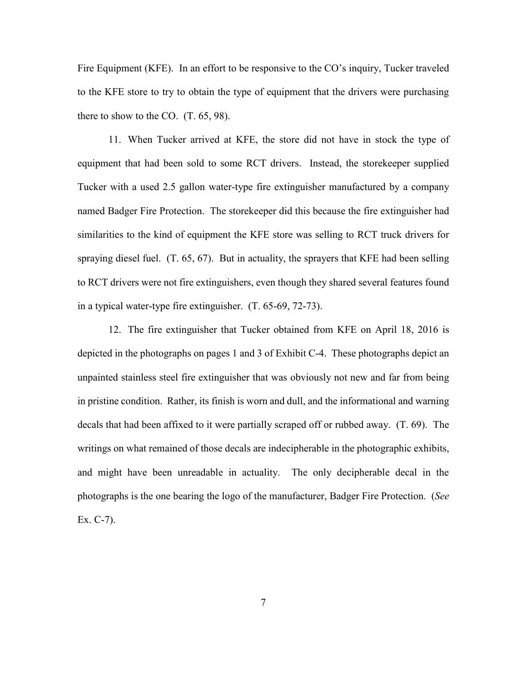Fire Equipment (KFE). In an effort to be responsive to the CO's inquiry, Tucker traveled to the KFE store to try to obtain the type of equipment that the drivers were purchasing there to show to the CO. (T. 65, 98).

11. When Tucker arrived at KFE, the store did not have in stock the type of equipment that had been sold to some RCT drivers. Instead, the storekeeper supplied Tucker with a used 2.5 gallon water-type fire extinguisher manufactured by a company named Badger Fire Protection. The storekeeper did this because the fire extinguisher had similarities to the kind of equipment the KFE store was selling to RCT truck drivers for spraying diesel fuel. (T. 65, 67). But in actuality, the sprayers that KFE had been selling to RCT drivers were not fire extinguishers, even though they shared several features found in a typical water-type fire extinguisher. (T. 65-69, 72-73).

12. The fire extinguisher that Tucker obtained from KFE on April 18, 2016 is depicted in the photographs on pages 1 and 3 of Exhibit C-4. These photographs depict an unpainted stainless steel fire extinguisher that was obviously not new and far from being in pristine condition. Rather, its finish is worn and dull, and the informational and warning decals that had been affixed to it were partially scraped off or rubbed away. (T. 69). The writings on what remained of those decals are indecipherable in the photographic exhibits, and might have been unreadable in actuality. The only decipherable decal in the photographs is the one bearing the logo of the manufacturer, Badger Fire Protection. (*See* Ex. C-7).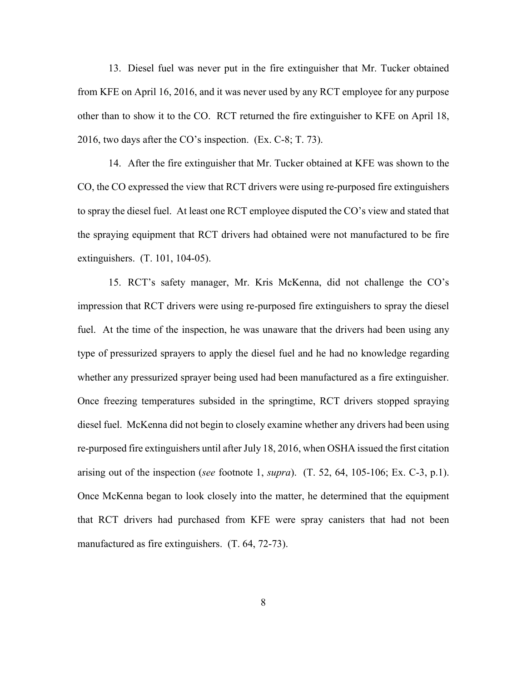13. Diesel fuel was never put in the fire extinguisher that Mr. Tucker obtained from KFE on April 16, 2016, and it was never used by any RCT employee for any purpose other than to show it to the CO. RCT returned the fire extinguisher to KFE on April 18, 2016, two days after the CO's inspection. (Ex. C-8; T. 73).

14. After the fire extinguisher that Mr. Tucker obtained at KFE was shown to the CO, the CO expressed the view that RCT drivers were using re-purposed fire extinguishers to spray the diesel fuel. At least one RCT employee disputed the CO's view and stated that the spraying equipment that RCT drivers had obtained were not manufactured to be fire extinguishers. (T. 101, 104-05).

15. RCT's safety manager, Mr. Kris McKenna, did not challenge the CO's impression that RCT drivers were using re-purposed fire extinguishers to spray the diesel fuel. At the time of the inspection, he was unaware that the drivers had been using any type of pressurized sprayers to apply the diesel fuel and he had no knowledge regarding whether any pressurized sprayer being used had been manufactured as a fire extinguisher. Once freezing temperatures subsided in the springtime, RCT drivers stopped spraying diesel fuel. McKenna did not begin to closely examine whether any drivers had been using re-purposed fire extinguishers until after July 18, 2016, when OSHA issued the first citation arising out of the inspection (*see* footnote 1, *supra*). (T. 52, 64, 105-106; Ex. C-3, p.1). Once McKenna began to look closely into the matter, he determined that the equipment that RCT drivers had purchased from KFE were spray canisters that had not been manufactured as fire extinguishers. (T. 64, 72-73).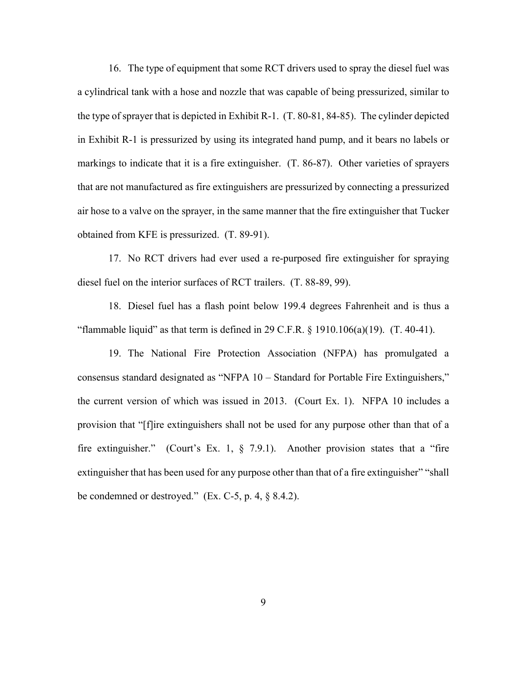16. The type of equipment that some RCT drivers used to spray the diesel fuel was a cylindrical tank with a hose and nozzle that was capable of being pressurized, similar to the type of sprayer that is depicted in Exhibit R-1. (T. 80-81, 84-85). The cylinder depicted in Exhibit R-1 is pressurized by using its integrated hand pump, and it bears no labels or markings to indicate that it is a fire extinguisher. (T. 86-87). Other varieties of sprayers that are not manufactured as fire extinguishers are pressurized by connecting a pressurized air hose to a valve on the sprayer, in the same manner that the fire extinguisher that Tucker obtained from KFE is pressurized. (T. 89-91).

17. No RCT drivers had ever used a re-purposed fire extinguisher for spraying diesel fuel on the interior surfaces of RCT trailers. (T. 88-89, 99).

18. Diesel fuel has a flash point below 199.4 degrees Fahrenheit and is thus a "flammable liquid" as that term is defined in 29 C.F.R.  $\S$  1910.106(a)(19). (T. 40-41).

19. The National Fire Protection Association (NFPA) has promulgated a consensus standard designated as "NFPA 10 – Standard for Portable Fire Extinguishers," the current version of which was issued in 2013. (Court Ex. 1). NFPA 10 includes a provision that "[f]ire extinguishers shall not be used for any purpose other than that of a fire extinguisher." (Court's Ex. 1, § 7.9.1). Another provision states that a "fire extinguisher that has been used for any purpose other than that of a fire extinguisher" "shall be condemned or destroyed."  $(Ex. C-5, p. 4, \S 8.4.2).$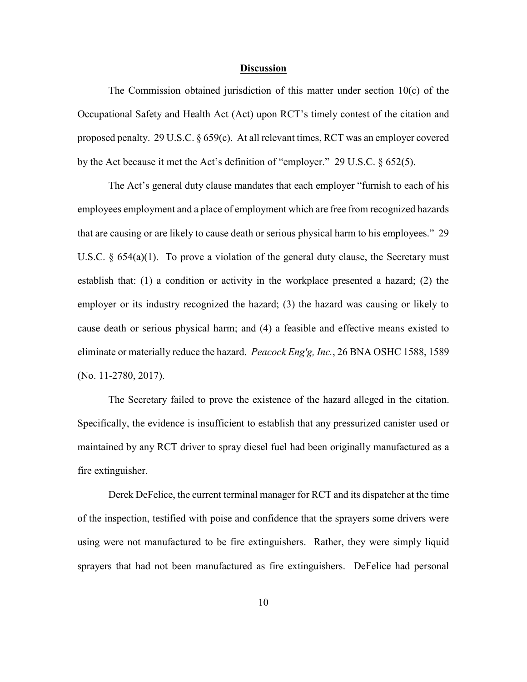### **Discussion**

The Commission obtained jurisdiction of this matter under section  $10(c)$  of the Occupational Safety and Health Act (Act) upon RCT's timely contest of the citation and proposed penalty. 29 U.S.C. § 659(c). At all relevant times, RCT was an employer covered by the Act because it met the Act's definition of "employer." 29 U.S.C. § 652(5).

The Act's general duty clause mandates that each employer "furnish to each of his employees employment and a place of employment which are free from recognized hazards that are causing or are likely to cause death or serious physical harm to his employees." 29 U.S.C.  $\S$  654(a)(1). To prove a violation of the general duty clause, the Secretary must establish that: (1) a condition or activity in the workplace presented a hazard; (2) the employer or its industry recognized the hazard; (3) the hazard was causing or likely to cause death or serious physical harm; and (4) a feasible and effective means existed to eliminate or materially reduce the hazard. *Peacock Eng'g, Inc.*, 26 BNA OSHC 1588, 1589 (No. 11-2780, 2017).

The Secretary failed to prove the existence of the hazard alleged in the citation. Specifically, the evidence is insufficient to establish that any pressurized canister used or maintained by any RCT driver to spray diesel fuel had been originally manufactured as a fire extinguisher.

Derek DeFelice, the current terminal manager for RCT and its dispatcher at the time of the inspection, testified with poise and confidence that the sprayers some drivers were using were not manufactured to be fire extinguishers. Rather, they were simply liquid sprayers that had not been manufactured as fire extinguishers. DeFelice had personal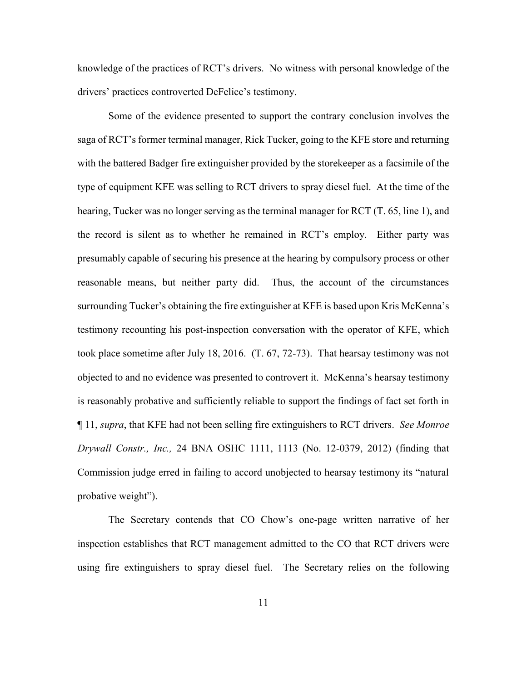knowledge of the practices of RCT's drivers. No witness with personal knowledge of the drivers' practices controverted DeFelice's testimony.

Some of the evidence presented to support the contrary conclusion involves the saga of RCT's former terminal manager, Rick Tucker, going to the KFE store and returning with the battered Badger fire extinguisher provided by the storekeeper as a facsimile of the type of equipment KFE was selling to RCT drivers to spray diesel fuel. At the time of the hearing, Tucker was no longer serving as the terminal manager for RCT (T. 65, line 1), and the record is silent as to whether he remained in RCT's employ. Either party was presumably capable of securing his presence at the hearing by compulsory process or other reasonable means, but neither party did. Thus, the account of the circumstances surrounding Tucker's obtaining the fire extinguisher at KFE is based upon Kris McKenna's testimony recounting his post-inspection conversation with the operator of KFE, which took place sometime after July 18, 2016. (T. 67, 72-73). That hearsay testimony was not objected to and no evidence was presented to controvert it. McKenna's hearsay testimony is reasonably probative and sufficiently reliable to support the findings of fact set forth in ¶ 11, *supra*, that KFE had not been selling fire extinguishers to RCT drivers. *See Monroe Drywall Constr., Inc.,* 24 BNA OSHC 1111, 1113 (No. 12-0379, 2012) (finding that Commission judge erred in failing to accord unobjected to hearsay testimony its "natural probative weight").

The Secretary contends that CO Chow's one-page written narrative of her inspection establishes that RCT management admitted to the CO that RCT drivers were using fire extinguishers to spray diesel fuel. The Secretary relies on the following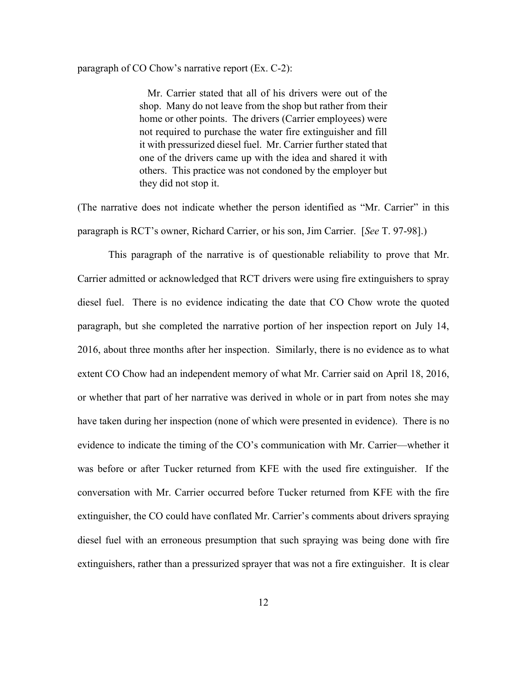#### paragraph of CO Chow's narrative report (Ex. C-2):

Mr. Carrier stated that all of his drivers were out of the shop. Many do not leave from the shop but rather from their home or other points. The drivers (Carrier employees) were not required to purchase the water fire extinguisher and fill it with pressurized diesel fuel. Mr. Carrier further stated that one of the drivers came up with the idea and shared it with others. This practice was not condoned by the employer but they did not stop it.

(The narrative does not indicate whether the person identified as "Mr. Carrier" in this paragraph is RCT's owner, Richard Carrier, or his son, Jim Carrier. [*See* T. 97-98].)

This paragraph of the narrative is of questionable reliability to prove that Mr. Carrier admitted or acknowledged that RCT drivers were using fire extinguishers to spray diesel fuel. There is no evidence indicating the date that CO Chow wrote the quoted paragraph, but she completed the narrative portion of her inspection report on July 14, 2016, about three months after her inspection. Similarly, there is no evidence as to what extent CO Chow had an independent memory of what Mr. Carrier said on April 18, 2016, or whether that part of her narrative was derived in whole or in part from notes she may have taken during her inspection (none of which were presented in evidence). There is no evidence to indicate the timing of the CO's communication with Mr. Carrier—whether it was before or after Tucker returned from KFE with the used fire extinguisher. If the conversation with Mr. Carrier occurred before Tucker returned from KFE with the fire extinguisher, the CO could have conflated Mr. Carrier's comments about drivers spraying diesel fuel with an erroneous presumption that such spraying was being done with fire extinguishers, rather than a pressurized sprayer that was not a fire extinguisher. It is clear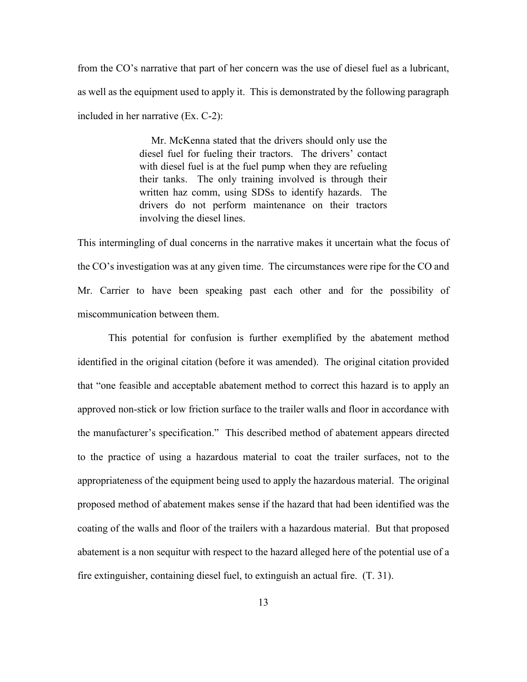from the CO's narrative that part of her concern was the use of diesel fuel as a lubricant, as well as the equipment used to apply it. This is demonstrated by the following paragraph included in her narrative (Ex. C-2):

> Mr. McKenna stated that the drivers should only use the diesel fuel for fueling their tractors. The drivers' contact with diesel fuel is at the fuel pump when they are refueling their tanks. The only training involved is through their written haz comm, using SDSs to identify hazards. The drivers do not perform maintenance on their tractors involving the diesel lines.

This intermingling of dual concerns in the narrative makes it uncertain what the focus of the CO's investigation was at any given time. The circumstances were ripe for the CO and Mr. Carrier to have been speaking past each other and for the possibility of miscommunication between them.

This potential for confusion is further exemplified by the abatement method identified in the original citation (before it was amended). The original citation provided that "one feasible and acceptable abatement method to correct this hazard is to apply an approved non-stick or low friction surface to the trailer walls and floor in accordance with the manufacturer's specification." This described method of abatement appears directed to the practice of using a hazardous material to coat the trailer surfaces, not to the appropriateness of the equipment being used to apply the hazardous material. The original proposed method of abatement makes sense if the hazard that had been identified was the coating of the walls and floor of the trailers with a hazardous material. But that proposed abatement is a non sequitur with respect to the hazard alleged here of the potential use of a fire extinguisher, containing diesel fuel, to extinguish an actual fire. (T. 31).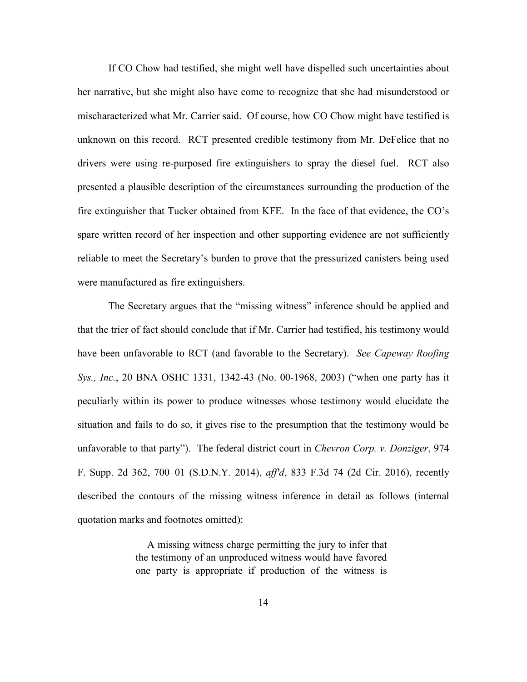If CO Chow had testified, she might well have dispelled such uncertainties about her narrative, but she might also have come to recognize that she had misunderstood or mischaracterized what Mr. Carrier said. Of course, how CO Chow might have testified is unknown on this record. RCT presented credible testimony from Mr. DeFelice that no drivers were using re-purposed fire extinguishers to spray the diesel fuel. RCT also presented a plausible description of the circumstances surrounding the production of the fire extinguisher that Tucker obtained from KFE. In the face of that evidence, the CO's spare written record of her inspection and other supporting evidence are not sufficiently reliable to meet the Secretary's burden to prove that the pressurized canisters being used were manufactured as fire extinguishers.

The Secretary argues that the "missing witness" inference should be applied and that the trier of fact should conclude that if Mr. Carrier had testified, his testimony would have been unfavorable to RCT (and favorable to the Secretary). *See Capeway Roofing Sys., Inc.*, 20 BNA OSHC 1331, 1342-43 (No. 00-1968, 2003) ("when one party has it peculiarly within its power to produce witnesses whose testimony would elucidate the situation and fails to do so, it gives rise to the presumption that the testimony would be unfavorable to that party"). The federal district court in *Chevron Corp. v. Donziger*, 974 F. Supp. 2d 362, 700–01 (S.D.N.Y. 2014), *aff'd*, 833 F.3d 74 (2d Cir. 2016), recently described the contours of the missing witness inference in detail as follows (internal quotation marks and footnotes omitted):

> A missing witness charge permitting the jury to infer that the testimony of an unproduced witness would have favored one party is appropriate if production of the witness is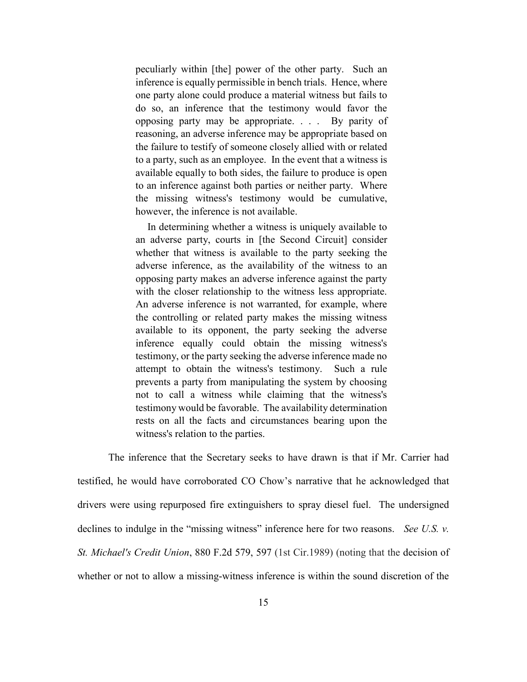peculiarly within [the] power of the other party. Such an inference is equally permissible in bench trials. Hence, where one party alone could produce a material witness but fails to do so, an inference that the testimony would favor the opposing party may be appropriate. . . . By parity of reasoning, an adverse inference may be appropriate based on the failure to testify of someone closely allied with or related to a party, such as an employee. In the event that a witness is available equally to both sides, the failure to produce is open to an inference against both parties or neither party. Where the missing witness's testimony would be cumulative, however, the inference is not available.

In determining whether a witness is uniquely available to an adverse party, courts in [the Second Circuit] consider whether that witness is available to the party seeking the adverse inference, as the availability of the witness to an opposing party makes an adverse inference against the party with the closer relationship to the witness less appropriate. An adverse inference is not warranted, for example, where the controlling or related party makes the missing witness available to its opponent, the party seeking the adverse inference equally could obtain the missing witness's testimony, or the party seeking the adverse inference made no attempt to obtain the witness's testimony. Such a rule prevents a party from manipulating the system by choosing not to call a witness while claiming that the witness's testimony would be favorable. The availability determination rests on all the facts and circumstances bearing upon the witness's relation to the parties.

The inference that the Secretary seeks to have drawn is that if Mr. Carrier had testified, he would have corroborated CO Chow's narrative that he acknowledged that drivers were using repurposed fire extinguishers to spray diesel fuel. The undersigned declines to indulge in the "missing witness" inference here for two reasons. *See U.S. v. St. Michael's Credit Union*, 880 F.2d 579, 597 (1st Cir.1989) (noting that the decision of whether or not to allow a missing-witness inference is within the sound discretion of the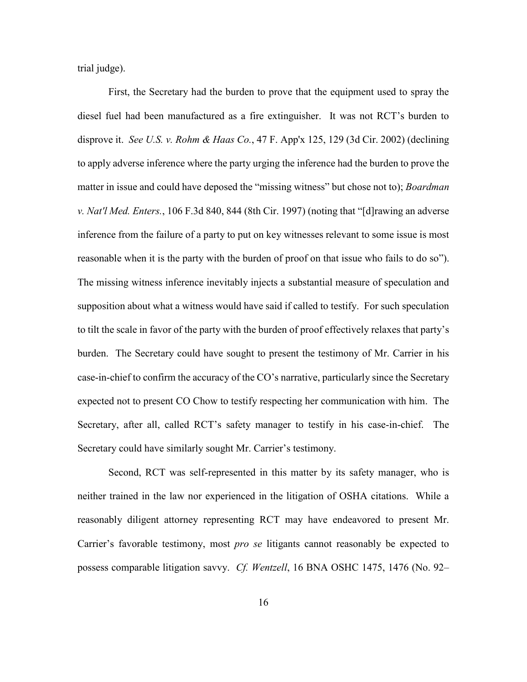trial judge).

First, the Secretary had the burden to prove that the equipment used to spray the diesel fuel had been manufactured as a fire extinguisher. It was not RCT's burden to disprove it. *See U.S. v. Rohm & Haas Co.*, 47 F. App'x 125, 129 (3d Cir. 2002) (declining to apply adverse inference where the party urging the inference had the burden to prove the matter in issue and could have deposed the "missing witness" but chose not to); *Boardman v. Nat'l Med. Enters.*, 106 F.3d 840, 844 (8th Cir. 1997) (noting that "[d]rawing an adverse inference from the failure of a party to put on key witnesses relevant to some issue is most reasonable when it is the party with the burden of proof on that issue who fails to do so"). The missing witness inference inevitably injects a substantial measure of speculation and supposition about what a witness would have said if called to testify. For such speculation to tilt the scale in favor of the party with the burden of proof effectively relaxes that party's burden. The Secretary could have sought to present the testimony of Mr. Carrier in his case-in-chief to confirm the accuracy of the CO's narrative, particularly since the Secretary expected not to present CO Chow to testify respecting her communication with him. The Secretary, after all, called RCT's safety manager to testify in his case-in-chief. The Secretary could have similarly sought Mr. Carrier's testimony.

Second, RCT was self-represented in this matter by its safety manager, who is neither trained in the law nor experienced in the litigation of OSHA citations. While a reasonably diligent attorney representing RCT may have endeavored to present Mr. Carrier's favorable testimony, most *pro se* litigants cannot reasonably be expected to possess comparable litigation savvy. *Cf. Wentzell*, 16 BNA OSHC 1475, 1476 (No. 92–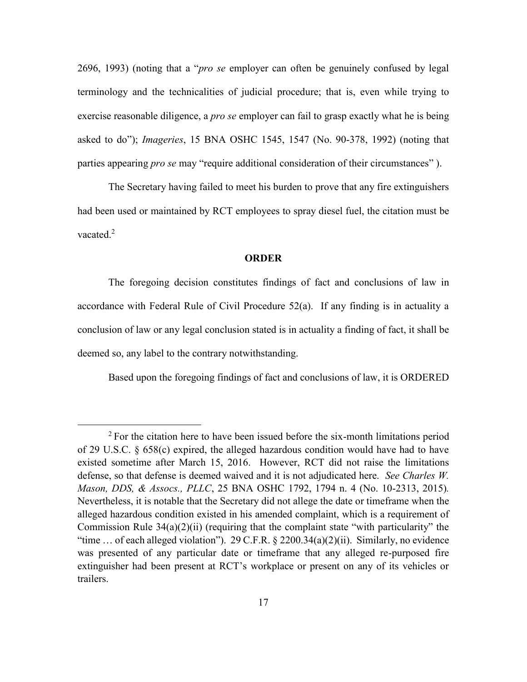2696, 1993) (noting that a "*pro se* employer can often be genuinely confused by legal terminology and the technicalities of judicial procedure; that is, even while trying to exercise reasonable diligence, a *pro se* employer can fail to grasp exactly what he is being asked to do"); *Imageries*, 15 BNA OSHC 1545, 1547 (No. 90-378, 1992) (noting that parties appearing *pro se* may "require additional consideration of their circumstances" ).

The Secretary having failed to meet his burden to prove that any fire extinguishers had been used or maintained by RCT employees to spray diesel fuel, the citation must be vacated.<sup>2</sup>

### **ORDER**

The foregoing decision constitutes findings of fact and conclusions of law in accordance with Federal Rule of Civil Procedure 52(a). If any finding is in actuality a conclusion of law or any legal conclusion stated is in actuality a finding of fact, it shall be deemed so, any label to the contrary notwithstanding.

Based upon the foregoing findings of fact and conclusions of law, it is ORDERED

 $\overline{a}$ 

<sup>&</sup>lt;sup>2</sup> For the citation here to have been issued before the six-month limitations period of 29 U.S.C. § 658(c) expired, the alleged hazardous condition would have had to have existed sometime after March 15, 2016. However, RCT did not raise the limitations defense, so that defense is deemed waived and it is not adjudicated here. *See Charles W. Mason, DDS, & Assocs., PLLC*, 25 BNA OSHC 1792, 1794 n. 4 (No. 10-2313, 2015)*.* Nevertheless, it is notable that the Secretary did not allege the date or timeframe when the alleged hazardous condition existed in his amended complaint, which is a requirement of Commission Rule 34(a)(2)(ii) (requiring that the complaint state "with particularity" the "time … of each alleged violation"). 29 C.F.R. § 2200.34(a)(2)(ii). Similarly, no evidence was presented of any particular date or timeframe that any alleged re-purposed fire extinguisher had been present at RCT's workplace or present on any of its vehicles or trailers.